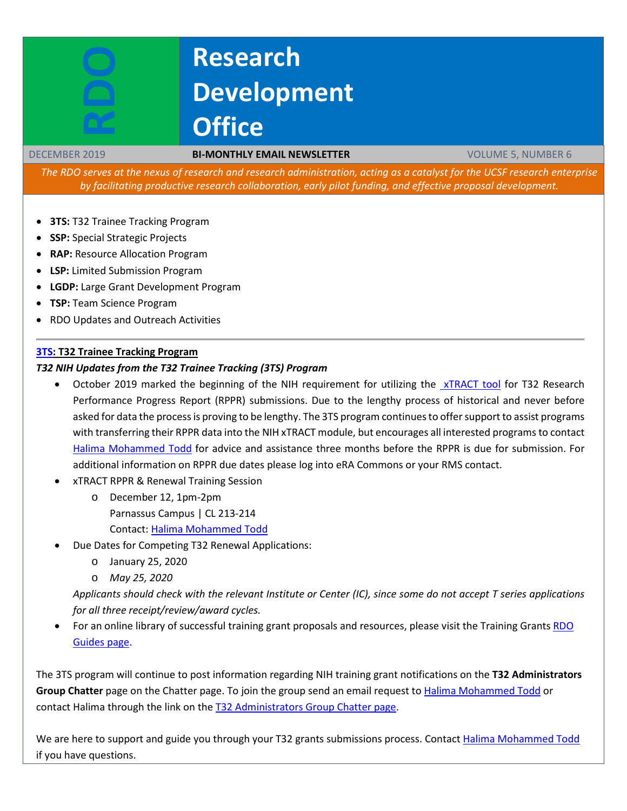# **Research Development Office**

#### DECEMBER 2019 **BI-MONTHLY EMAIL NEWSLETTER** VOLUME 5, NUMBER 6

The RDO serves at the nexus of research and research administration, acting as a catalyst for the UCSF research enterprise *by facilitating productive research collaboration, early pilot funding, and effective proposal development.*

- **3TS:** T32 Trainee Tracking Program
- **SSP:** Special Strategic Projects
- **RAP:** Resource Allocation Program
- **LSP:** Limited Submission Program
- **LGDP:** Large Grant Development Program
- **TSP:** Team Science Program
- RDO Updates and Outreach Activities

# **[3TS:](https://accelerate.ucsf.edu/training/t32-resources#tracking) T32 Trainee Tracking Program**

#### *T32 NIH Updates from the T32 Trainee Tracking (3TS) Program*

- October 2019 marked the beginning of the NIH requirement for utilizing the [xTRACT](https://grants.nih.gov/grants/guide/notice-files/NOT-OD-18-133.html) tool for T32 Research Performance Progress Report (RPPR) submissions. Due to the lengthy process of historical and never before asked for data the process is proving to be lengthy. The 3TS program continues to offer support to assist programs with transferring their RPPR data into the NIH xTRACT module, but encourages all interested programs to contact [Halima Mohammed Todd](mailto:Halima.Mohammed@ucsf.edu) for advice and assistance three months before the RPPR is due for submission. For additional information on RPPR due dates please log into eRA Commons or your RMS contact.
- xTRACT RPPR & Renewal Training Session
	- o December 12, 1pm-2pm Parnassus Campus | CL 213-214 Contact: [Halima Mohammed Todd](mailto:Halima.Mohammed@ucsf.edu)
- Due Dates for Competing T32 Renewal Applications:
	- o January 25, 2020
	- o *May 25, 2020*

*Applicants should check with the relevant Institute or Center (IC), since some do not accept T series applications for all three receipt/review/award cycles.*

• For an online library of successful training grant proposals and resources, please visit the Training Grants [RDO](https://guides.ucsf.edu/rdo/traininggrants)  [Guides page.](https://guides.ucsf.edu/rdo/traininggrants)

The 3TS program will continue to post information regarding NIH training grant notifications on the **T32 Administrators** Group Chatter page on the Chatter page. To join the group send an email request to Halima [Mohammed](mailto:Halima.Mohammed@ucsf.edu) Todd or contact Halima through the link on the T32 [Administrators](https://ucsf.my.salesforce.com/_ui/core/chatter/groups/GroupProfilePage?g=0F9A00000004SyW) Group Chatter page.

We are here to support and guide you through your T32 grants submissions process. Contact Halima [Mohammed](mailto:Halima.Mohammed@ucsf.edu) Todd if you have questions.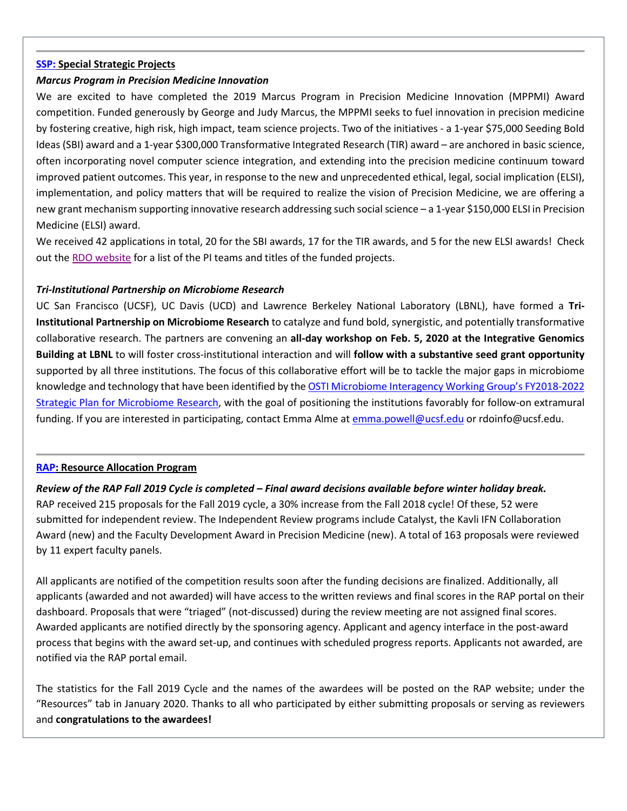#### **[SSP:](http://rdo.ucsf.edu/team-science-research-innovation-program-tsrip) Special Strategic Projects**

#### *Marcus Program in Precision Medicine Innovation*

We are excited to have completed the 2019 Marcus Program in Precision Medicine Innovation (MPPMI) Award competition. Funded generously by George and Judy Marcus, the MPPMI seeks to fuel innovation in precision medicine by fostering creative, high risk, high impact, team science projects. Two of the initiatives - a 1-year \$75,000 Seeding Bold Ideas (SBI) award and a 1-year \$300,000 Transformative Integrated Research (TIR) award – are anchored in basic science, often incorporating novel computer science integration, and extending into the precision medicine continuum toward improved patient outcomes. This year, in response to the new and unprecedented ethical, legal, social implication (ELSI), implementation, and policy matters that will be required to realize the vision of Precision Medicine, we are offering a new grant mechanism supporting innovative research addressing such social science – a 1-year \$150,000 ELSI in Precision Medicine (ELSI) award.

We received 42 applications in total, 20 for the SBI awards, 17 for the TIR awards, and 5 for the new ELSI awards! Check out the [RDO website](https://rdo.ucsf.edu/news/marcus-program-precision-medicine-innovation-overview) for a list of the PI teams and titles of the funded projects.

#### *Tri-Institutional Partnership on Microbiome Research*

UC San Francisco (UCSF), UC Davis (UCD) and Lawrence Berkeley National Laboratory (LBNL), have formed a **Tri-Institutional Partnership on Microbiome Research** to catalyze and fund bold, synergistic, and potentially transformative collaborative research. The partners are convening an **all-day workshop on Feb. 5, 2020 at the Integrative Genomics Building at LBNL** to will foster cross-institutional interaction and will **follow with a substantive seed grant opportunity** supported by all three institutions. The focus of this collaborative effort will be to tackle the major gaps in microbiome knowledge and technology that have been identified by the OSTI Microbiome Interagency Working Group's [FY2018-2022](https://www.osti.gov/servlets/purl/1471707/) Strategic Plan for [Microbiome](https://www.osti.gov/servlets/purl/1471707/) Research, with the goal of positioning the institutions favorably for follow-on extramural funding. If you are interested in participating, contact Emma Alme at [emma.powell@ucsf.edu](mailto:emma.powell@ucsf.edu) or rdoinfo@ucsf.edu.

#### **[RAP:](https://rap.ucsf.edu/) Resource Allocation Program**

*Review of the RAP Fall 2019 Cycle is completed – Final award decisions available before winter holiday break.* RAP received 215 proposals for the Fall 2019 cycle, a 30% increase from the Fall 2018 cycle! Of these, 52 were submitted for independent review. The Independent Review programs include Catalyst, the Kavli IFN Collaboration Award (new) and the Faculty Development Award in Precision Medicine (new). A total of 163 proposals were reviewed by 11 expert faculty panels.

All applicants are notified of the competition results soon after the funding decisions are finalized. Additionally, all applicants (awarded and not awarded) will have access to the written reviews and final scores in the RAP portal on their dashboard. Proposals that were "triaged" (not-discussed) during the review meeting are not assigned final scores. Awarded applicants are notified directly by the sponsoring agency. Applicant and agency interface in the post-award process that begins with the award set-up, and continues with scheduled progress reports. Applicants not awarded, are notified via the RAP portal email.

The statistics for the Fall 2019 Cycle and the names of the awardees will be posted on the RAP website; under the "Resources" tab in January 2020. Thanks to all who participated by either submitting proposals or serving as reviewers and **congratulations to the awardees!**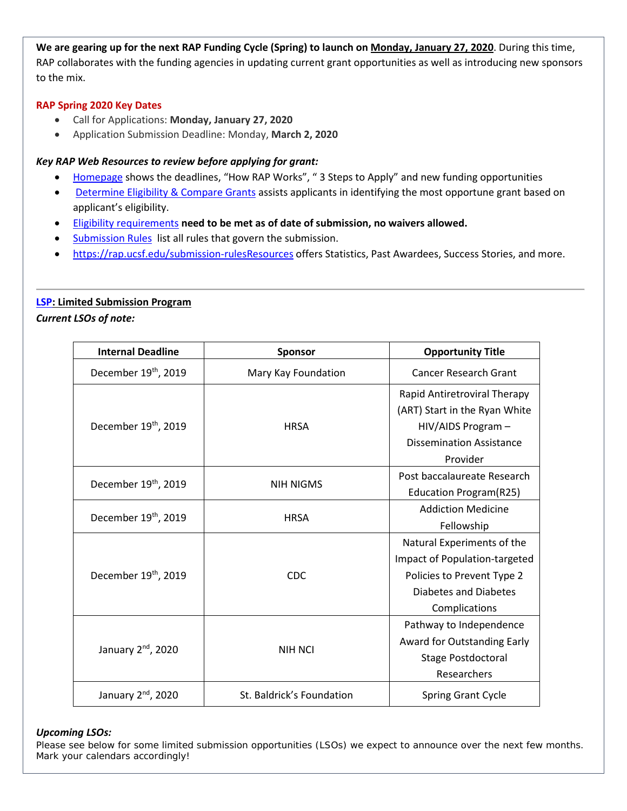**We are gearing up for the next RAP Funding Cycle (Spring) to launch on Monday, January 27, 2020**. During this time, RAP collaborates with the funding agencies in updating current grant opportunities as well as introducing new sponsors to the mix.

# **RAP Spring 2020 Key Dates**

- Call for Applications: **Monday, January 27, 2020**
- Application Submission Deadline: Monday, **March 2, 2020**

# *Key RAP Web Resources to review before applying for grant:*

- [Homepage](https://rap.ucsf.edu/home) shows the deadlines, "How RAP Works", "3 Steps to Apply" and new funding opportunities
- [Determine Eligibility & Compare Grants](https://rap.ucsf.edu/determine-eligibility-compare-grants) assists applicants in identifying the most opportune grant based on applicant's eligibility.
- Eligibility requirements **need to be met as of date of submission, no waivers allowed.**
- [Submission Rules](https://rap.ucsf.edu/submission-rules) list all rules that govern the submission.
- [https://rap.ucsf.edu/submission-rulesResources](https://rap.ucsf.edu/submission-rules) offers Statistics, Past Awardees, Success Stories, and more.

# **[LSP:](http://rdo.ucsf.edu/limited-submission-program-lsp) Limited Submission Program**

*Current LSOs of note:*

| <b>Internal Deadline</b>         | <b>Sponsor</b>            | <b>Opportunity Title</b>        |
|----------------------------------|---------------------------|---------------------------------|
| December 19th, 2019              | Mary Kay Foundation       | Cancer Research Grant           |
|                                  | <b>HRSA</b>               | Rapid Antiretroviral Therapy    |
| December 19 <sup>th</sup> , 2019 |                           | (ART) Start in the Ryan White   |
|                                  |                           | HIV/AIDS Program -              |
|                                  |                           | <b>Dissemination Assistance</b> |
|                                  |                           | Provider                        |
| December 19 <sup>th</sup> , 2019 |                           | Post baccalaureate Research     |
|                                  | <b>NIH NIGMS</b>          | Education Program(R25)          |
|                                  | <b>HRSA</b>               | <b>Addiction Medicine</b>       |
| December 19th, 2019              |                           | Fellowship                      |
|                                  |                           | Natural Experiments of the      |
| December 19th, 2019              | CDC.                      | Impact of Population-targeted   |
|                                  |                           | Policies to Prevent Type 2      |
|                                  |                           | Diabetes and Diabetes           |
|                                  |                           | Complications                   |
|                                  |                           | Pathway to Independence         |
| January $2nd$ , 2020             | NIH NCI                   | Award for Outstanding Early     |
|                                  |                           | <b>Stage Postdoctoral</b>       |
|                                  |                           | Researchers                     |
| January 2 <sup>nd</sup> , 2020   | St. Baldrick's Foundation | Spring Grant Cycle              |

#### *Upcoming LSOs:*

Please see below for some limited submission opportunities (LSOs) we expect to announce over the next few months. Mark your calendars accordingly!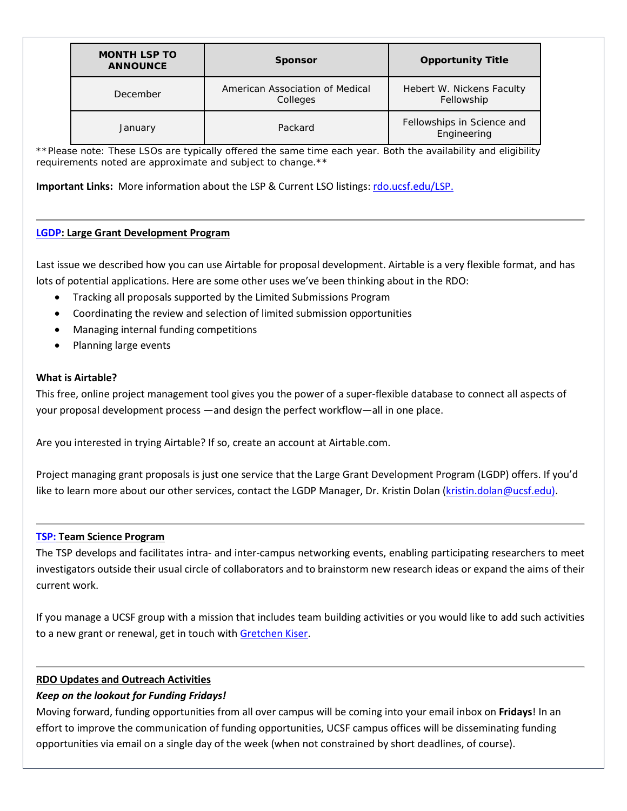| <b>MONTH LSP TO</b><br><b>ANNOUNCE</b> | <b>Sponsor</b>                              | <b>Opportunity Title</b>                  |
|----------------------------------------|---------------------------------------------|-------------------------------------------|
| December                               | American Association of Medical<br>Colleges | Hebert W. Nickens Faculty<br>Fellowship   |
| January                                | Packard                                     | Fellowships in Science and<br>Engineering |

\*\*Please note: These LSOs are typically offered the same time each year. Both the availability and eligibility *requirements noted are approximate and subject to change.\*\**

**Important Links:** More information about the LSP & Current LSO listings: [rdo.ucsf.edu/LSP.](http://rdo.ucsf.edu/limited-submission-program-lsp)

#### **[LGDP:](http://rdo.ucsf.edu/large-grant-development-program-lgdp) Large Grant Development Program**

Last issue we described how you can use Airtable for proposal development. Airtable is a very flexible format, and has lots of potential applications. Here are some other uses we've been thinking about in the RDO:

- Tracking all proposals supported by the Limited Submissions Program
- Coordinating the review and selection of limited submission opportunities
- Managing internal funding competitions
- Planning large events

#### **What is Airtable?**

This free, online project management tool gives you the power of a super-flexible database to connect all aspects of your proposal development process —and design the perfect workflow—all in one place.

Are you interested in trying Airtable? If so, create an account at Airtable.com.

Project managing grant proposals is just one service that the Large Grant Development Program (LGDP) offers. If you'd like to learn more about our other services, contact the LGDP Manager, Dr. Kristin Dolan [\(kristin.dolan@ucsf.edu\)](mailto:kristin.dolan@ucsf.edu).

#### **[TSP:](http://rdo.ucsf.edu/team-science-research-innovation-program-tsrip) Team Science Program**

The TSP develops and facilitates intra- and inter-campus networking events, enabling participating researchers to meet investigators outside their usual circle of collaborators and to brainstorm new research ideas or expand the aims of their current work.

If you manage a UCSF group with a mission that includes team building activities or you would like to add such activities to a new grant or renewal, get in touch with [Gretchen Kiser.](mailto:gretchen.kiser@ucsf.edu?subject=TSP%20inquiry)

# **RDO Updates and Outreach Activities**

# *Keep on the lookout for Funding Fridays!*

Moving forward, funding opportunities from all over campus will be coming into your email inbox on **Fridays**! In an effort to improve the communication of funding opportunities, UCSF campus offices will be disseminating funding opportunities via email on a single day of the week (when not constrained by short deadlines, of course).